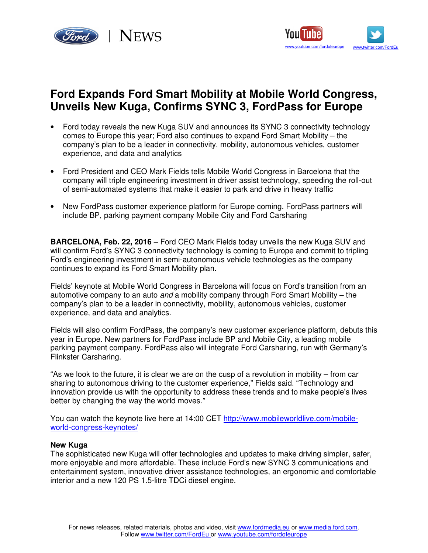



# **Ford Expands Ford Smart Mobility at Mobile World Congress, Unveils New Kuga, Confirms SYNC 3, FordPass for Europe**

- Ford today reveals the new Kuga SUV and announces its SYNC 3 connectivity technology comes to Europe this year; Ford also continues to expand Ford Smart Mobility – the company's plan to be a leader in connectivity, mobility, autonomous vehicles, customer experience, and data and analytics
- Ford President and CEO Mark Fields tells Mobile World Congress in Barcelona that the company will triple engineering investment in driver assist technology, speeding the roll-out of semi-automated systems that make it easier to park and drive in heavy traffic
- New FordPass customer experience platform for Europe coming. FordPass partners will include BP, parking payment company Mobile City and Ford Carsharing

**BARCELONA, Feb. 22, 2016** – Ford CEO Mark Fields today unveils the new Kuga SUV and will confirm Ford's SYNC 3 connectivity technology is coming to Europe and commit to tripling Ford's engineering investment in semi-autonomous vehicle technologies as the company continues to expand its Ford Smart Mobility plan.

Fields' keynote at Mobile World Congress in Barcelona will focus on Ford's transition from an automotive company to an auto and a mobility company through Ford Smart Mobility – the company's plan to be a leader in connectivity, mobility, autonomous vehicles, customer experience, and data and analytics.

Fields will also confirm FordPass, the company's new customer experience platform, debuts this year in Europe. New partners for FordPass include BP and Mobile City, a leading mobile parking payment company. FordPass also will integrate Ford Carsharing, run with Germany's Flinkster Carsharing.

"As we look to the future, it is clear we are on the cusp of a revolution in mobility – from car sharing to autonomous driving to the customer experience," Fields said. "Technology and innovation provide us with the opportunity to address these trends and to make people's lives better by changing the way the world moves."

You can watch the keynote live here at 14:00 CET http://www.mobileworldlive.com/mobileworld-congress-keynotes/

## **New Kuga**

The sophisticated new Kuga will offer technologies and updates to make driving simpler, safer, more enjoyable and more affordable. These include Ford's new SYNC 3 communications and entertainment system, innovative driver assistance technologies, an ergonomic and comfortable interior and a new 120 PS 1.5-litre TDCi diesel engine.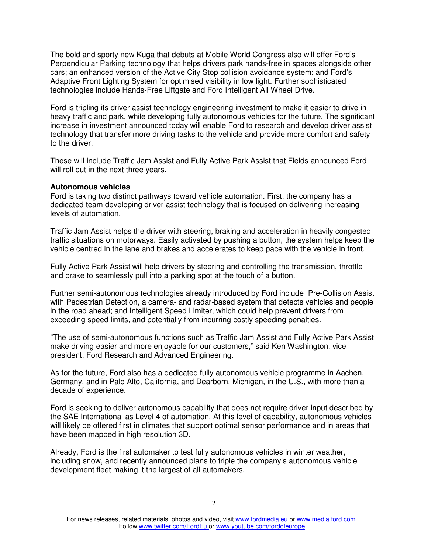The bold and sporty new Kuga that debuts at Mobile World Congress also will offer Ford's Perpendicular Parking technology that helps drivers park hands-free in spaces alongside other cars; an enhanced version of the Active City Stop collision avoidance system; and Ford's Adaptive Front Lighting System for optimised visibility in low light. Further sophisticated technologies include Hands-Free Liftgate and Ford Intelligent All Wheel Drive.

Ford is tripling its driver assist technology engineering investment to make it easier to drive in heavy traffic and park, while developing fully autonomous vehicles for the future. The significant increase in investment announced today will enable Ford to research and develop driver assist technology that transfer more driving tasks to the vehicle and provide more comfort and safety to the driver.

These will include Traffic Jam Assist and Fully Active Park Assist that Fields announced Ford will roll out in the next three years.

#### **Autonomous vehicles**

Ford is taking two distinct pathways toward vehicle automation. First, the company has a dedicated team developing driver assist technology that is focused on delivering increasing levels of automation.

Traffic Jam Assist helps the driver with steering, braking and acceleration in heavily congested traffic situations on motorways. Easily activated by pushing a button, the system helps keep the vehicle centred in the lane and brakes and accelerates to keep pace with the vehicle in front.

Fully Active Park Assist will help drivers by steering and controlling the transmission, throttle and brake to seamlessly pull into a parking spot at the touch of a button.

Further semi-autonomous technologies already introduced by Ford include Pre-Collision Assist with Pedestrian Detection, a camera- and radar-based system that detects vehicles and people in the road ahead; and Intelligent Speed Limiter, which could help prevent drivers from exceeding speed limits, and potentially from incurring costly speeding penalties.

"The use of semi-autonomous functions such as Traffic Jam Assist and Fully Active Park Assist make driving easier and more enjoyable for our customers," said Ken Washington, vice president, Ford Research and Advanced Engineering.

As for the future, Ford also has a dedicated fully autonomous vehicle programme in Aachen, Germany, and in Palo Alto, California, and Dearborn, Michigan, in the U.S., with more than a decade of experience.

Ford is seeking to deliver autonomous capability that does not require driver input described by the SAE International as Level 4 of automation. At this level of capability, autonomous vehicles will likely be offered first in climates that support optimal sensor performance and in areas that have been mapped in high resolution 3D.

Already, Ford is the first automaker to test fully autonomous vehicles in winter weather, including snow, and recently announced plans to triple the company's autonomous vehicle development fleet making it the largest of all automakers.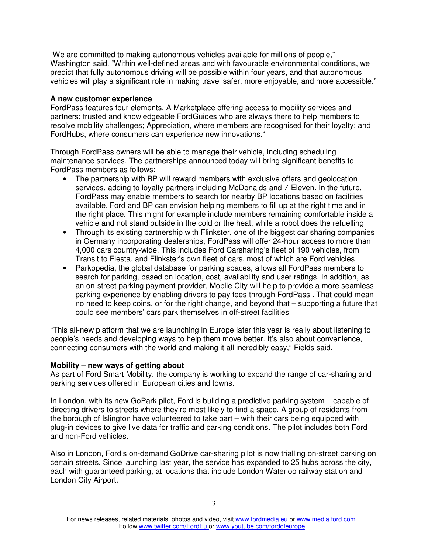"We are committed to making autonomous vehicles available for millions of people," Washington said. "Within well-defined areas and with favourable environmental conditions, we predict that fully autonomous driving will be possible within four years, and that autonomous vehicles will play a significant role in making travel safer, more enjoyable, and more accessible."

## **A new customer experience**

FordPass features four elements. A Marketplace offering access to mobility services and partners; trusted and knowledgeable FordGuides who are always there to help members to resolve mobility challenges; Appreciation, where members are recognised for their loyalty; and FordHubs, where consumers can experience new innovations.\*

Through FordPass owners will be able to manage their vehicle, including scheduling maintenance services. The partnerships announced today will bring significant benefits to FordPass members as follows:

- The partnership with BP will reward members with exclusive offers and geolocation services, adding to loyalty partners including McDonalds and 7-Eleven. In the future, FordPass may enable members to search for nearby BP locations based on facilities available. Ford and BP can envision helping members to fill up at the right time and in the right place. This might for example include members remaining comfortable inside a vehicle and not stand outside in the cold or the heat, while a robot does the refuelling
- Through its existing partnership with Flinkster, one of the biggest car sharing companies in Germany incorporating dealerships, FordPass will offer 24-hour access to more than 4,000 cars country-wide. This includes Ford Carsharing's fleet of 190 vehicles, from Transit to Fiesta, and Flinkster's own fleet of cars, most of which are Ford vehicles
- Parkopedia, the global database for parking spaces, allows all FordPass members to search for parking, based on location, cost, availability and user ratings. In addition, as an on-street parking payment provider, Mobile City will help to provide a more seamless parking experience by enabling drivers to pay fees through FordPass . That could mean no need to keep coins, or for the right change, and beyond that – supporting a future that could see members' cars park themselves in off-street facilities

"This all-new platform that we are launching in Europe later this year is really about listening to people's needs and developing ways to help them move better. It's also about convenience, connecting consumers with the world and making it all incredibly easy," Fields said.

## **Mobility – new ways of getting about**

As part of Ford Smart Mobility, the company is working to expand the range of car-sharing and parking services offered in European cities and towns.

In London, with its new GoPark pilot, Ford is building a predictive parking system – capable of directing drivers to streets where they're most likely to find a space. A group of residents from the borough of Islington have volunteered to take part – with their cars being equipped with plug-in devices to give live data for traffic and parking conditions. The pilot includes both Ford and non-Ford vehicles.

Also in London, Ford's on-demand GoDrive car-sharing pilot is now trialling on-street parking on certain streets. Since launching last year, the service has expanded to 25 hubs across the city, each with guaranteed parking, at locations that include London Waterloo railway station and London City Airport.